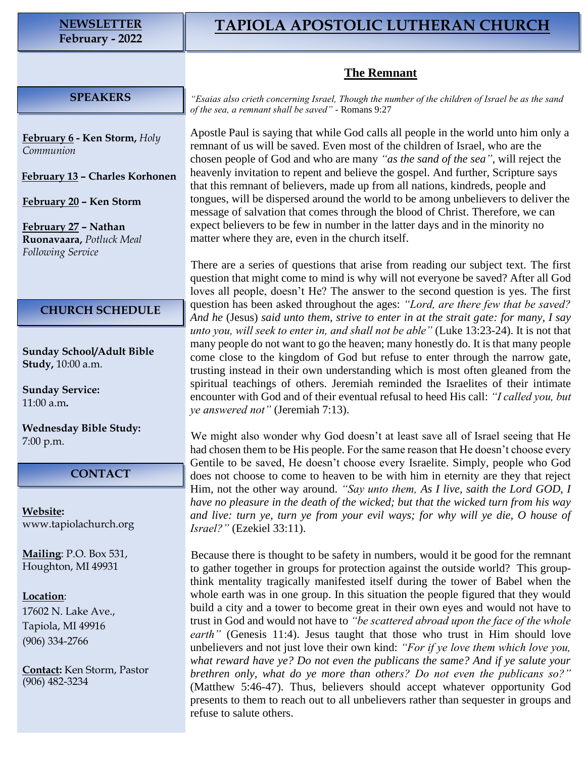## **The Remnant**

## **SPEAKERS**

**February 6 - Ken Storm,** *Holy Communion*

**February 13 – Charles Korhonen**

**February 20 – Ken Storm**

**February 27 – Nathan Ruonavaara,** *Potluck Meal Following Service*

## **CHURCH SCHEDULE**

**Sunday School/Adult Bible Study,** 10:00 a.m.

**Sunday Service:** 11:00 a.m**.**

**Wednesday Bible Study:** 7:00 p.m.

## **CONTACT**

**Website:**  [www.tapiolachurch.org](http://www.tapiolachurch.or/)

**Mailing**: P.O. Box 531, Houghton, MI 49931

**Location**:

17602 N. Lake Ave., Tapiola, MI 49916 (906) 334-2766

**Contact:** Ken Storm, Pastor (906) 482-3234

*"Esaias also crieth concerning Israel, Though the number of the children of Israel be as the sand of the sea, a remnant shall be saved"* - Romans 9:27

Apostle Paul is saying that while God calls all people in the world unto him only a remnant of us will be saved. Even most of the children of Israel, who are the chosen people of God and who are many *"as the sand of the sea"*, will reject the heavenly invitation to repent and believe the gospel. And further, Scripture says that this remnant of believers, made up from all nations, kindreds, people and tongues, will be dispersed around the world to be among unbelievers to deliver the message of salvation that comes through the blood of Christ. Therefore, we can expect believers to be few in number in the latter days and in the minority no matter where they are, even in the church itself.

There are a series of questions that arise from reading our subject text. The first question that might come to mind is why will not everyone be saved? After all God loves all people, doesn't He? The answer to the second question is yes. The first question has been asked throughout the ages: *"Lord, are there few that be saved? And he* (Jesus) *said unto them, strive to enter in at the strait gate: for many, I say unto you, will seek to enter in, and shall not be able"* (Luke 13:23-24). It is not that many people do not want to go the heaven; many honestly do. It is that many people come close to the kingdom of God but refuse to enter through the narrow gate, trusting instead in their own understanding which is most often gleaned from the spiritual teachings of others. Jeremiah reminded the Israelites of their intimate encounter with God and of their eventual refusal to heed His call: *"I called you, but ye answered not"* (Jeremiah 7:13).

We might also wonder why God doesn't at least save all of Israel seeing that He had chosen them to be His people. For the same reason that He doesn't choose every Gentile to be saved, He doesn't choose every Israelite. Simply, people who God does not choose to come to heaven to be with him in eternity are they that reject Him, not the other way around. *"Say unto them, As I live, saith the Lord GOD, I have no pleasure in the death of the wicked; but that the wicked turn from his way and live: turn ye, turn ye from your evil ways; for why will ye die, O house of Israel?"* (Ezekiel 33:11).

Because there is thought to be safety in numbers, would it be good for the remnant to gather together in groups for protection against the outside world? This groupthink mentality tragically manifested itself during the tower of Babel when the whole earth was in one group. In this situation the people figured that they would build a city and a tower to become great in their own eyes and would not have to trust in God and would not have to *"be scattered abroad upon the face of the whole earth*" (Genesis 11:4). Jesus taught that those who trust in Him should love unbelievers and not just love their own kind: *"For if ye love them which love you, what reward have ye? Do not even the publicans the same? And if ye salute your brethren only, what do ye more than others? Do not even the publicans so?"* (Matthew 5:46-47). Thus, believers should accept whatever opportunity God presents to them to reach out to all unbelievers rather than sequester in groups and refuse to salute others.